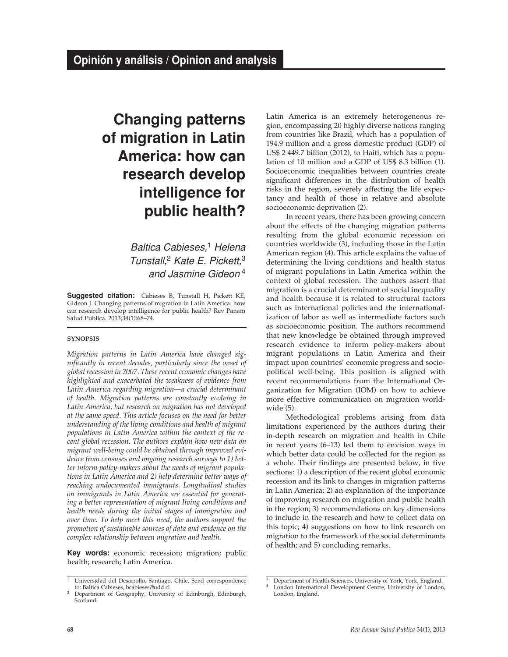# **Changing patterns of migration in Latin America: how can research develop intelligence for public health?**

*Baltica Cabieses,*<sup>1</sup> *Helena Tunstall,*<sup>2</sup> *Kate E. Pickett,*<sup>3</sup> *and Jasmine Gideon* <sup>4</sup>

**Suggested citation:** Cabieses B, Tunstall H, Pickett KE, Gideon J. Changing patterns of migration in Latin America: how can research develop intelligence for public health? Rev Panam Salud Publica. 2013;34(1):68–74.

### **synopsis**

*Migration patterns in Latin America have changed significantly in recent decades, particularly since the onset of global recession in 2007. These recent economic changes have highlighted and exacerbated the weakness of evidence from Latin America regarding migration—a crucial determinant of health. Migration patterns are constantly evolving in Latin America, but research on migration has not developed at the same speed. This article focuses on the need for better understanding of the living conditions and health of migrant populations in Latin America within the context of the recent global recession. The authors explain how new data on migrant well-being could be obtained through improved evidence from censuses and ongoing research surveys to 1) better inform policy-makers about the needs of migrant populations in Latin America and 2) help determine better ways of reaching undocumented immigrants. Longitudinal studies on immigrants in Latin America are essential for generating a better representation of migrant living conditions and health needs during the initial stages of immigration and over time. To help meet this need, the authors support the promotion of sustainable sources of data and evidence on the complex relationship between migration and health.*

**Key words:** economic recession; migration; public health; research; Latin America.

Latin America is an extremely heterogeneous region, encompassing 20 highly diverse nations ranging from countries like Brazil, which has a population of 194.9 million and a gross domestic product (GDP) of US\$ 2 449.7 billion (2012), to Haiti, which has a population of 10 million and a GDP of US\$ 8.3 billion (1). Socioeconomic inequalities between countries create significant differences in the distribution of health risks in the region, severely affecting the life expectancy and health of those in relative and absolute socioeconomic deprivation (2).

In recent years, there has been growing concern about the effects of the changing migration patterns resulting from the global economic recession on countries worldwide (3), including those in the Latin American region (4). This article explains the value of determining the living conditions and health status of migrant populations in Latin America within the context of global recession. The authors assert that migration is a crucial determinant of social inequality and health because it is related to structural factors such as international policies and the internationalization of labor as well as intermediate factors such as socioeconomic position. The authors recommend that new knowledge be obtained through improved research evidence to inform policy-makers about migrant populations in Latin America and their impact upon countries' economic progress and sociopolitical well-being. This position is aligned with recent recommendations from the International Organization for Migration (IOM) on how to achieve more effective communication on migration worldwide (5).

Methodological problems arising from data limitations experienced by the authors during their in-depth research on migration and health in Chile in recent years (6–13) led them to envision ways in which better data could be collected for the region as a whole. Their findings are presented below, in five sections: 1) a description of the recent global economic recession and its link to changes in migration patterns in Latin America; 2) an explanation of the importance of improving research on migration and public health in the region; 3) recommendations on key dimensions to include in the research and how to collect data on this topic; 4) suggestions on how to link research on migration to the framework of the social determinants of health; and 5) concluding remarks.

<sup>1</sup> Universidad del Desarrollo, Santiago, Chile. Send correspondence to: Baltica Cabieses, bcabieses@udd.cl

<sup>2</sup> Department of Geography, University of Edinburgh, Edinburgh, Scotland.

<sup>3</sup> Department of Health Sciences, University of York, York, England. London International Development Centre, University of London,

London, England.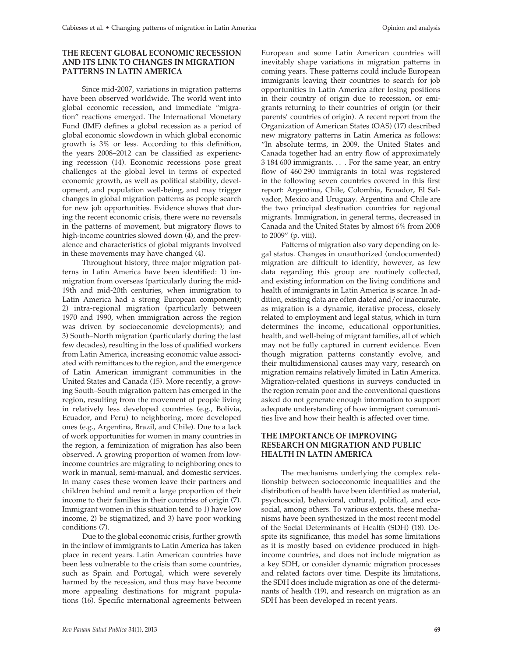## **THE RECENT GLOBAL ECONOMIC RECESSION AND ITS LINK TO CHANGES IN MIGRATION PATTERNS IN LATIN AMERICA**

Since mid-2007, variations in migration patterns have been observed worldwide. The world went into global economic recession, and immediate "migration" reactions emerged. The International Monetary Fund (IMF) defines a global recession as a period of global economic slowdown in which global economic growth is 3% or less. According to this definition, the years 2008–2012 can be classified as experiencing recession (14). Economic recessions pose great challenges at the global level in terms of expected economic growth, as well as political stability, development, and population well-being, and may trigger changes in global migration patterns as people search for new job opportunities. Evidence shows that during the recent economic crisis, there were no reversals in the patterns of movement, but migratory flows to high-income countries slowed down (4), and the prevalence and characteristics of global migrants involved in these movements may have changed (4).

Throughout history, three major migration patterns in Latin America have been identified: 1) immigration from overseas (particularly during the mid-19th and mid-20th centuries, when immigration to Latin America had a strong European component); 2) intra-regional migration (particularly between 1970 and 1990, when immigration across the region was driven by socioeconomic developments); and 3) South–North migration (particularly during the last few decades), resulting in the loss of qualified workers from Latin America, increasing economic value associated with remittances to the region, and the emergence of Latin American immigrant communities in the United States and Canada (15). More recently, a growing South–South migration pattern has emerged in the region, resulting from the movement of people living in relatively less developed countries (e.g., Bolivia, Ecuador, and Peru) to neighboring, more developed ones (e.g., Argentina, Brazil, and Chile). Due to a lack of work opportunities for women in many countries in the region, a feminization of migration has also been observed. A growing proportion of women from lowincome countries are migrating to neighboring ones to work in manual, semi-manual, and domestic services. In many cases these women leave their partners and children behind and remit a large proportion of their income to their families in their countries of origin (7). Immigrant women in this situation tend to 1) have low income, 2) be stigmatized, and 3) have poor working conditions (7).

Due to the global economic crisis, further growth in the inflow of immigrants to Latin America has taken place in recent years. Latin American countries have been less vulnerable to the crisis than some countries, such as Spain and Portugal, which were severely harmed by the recession, and thus may have become more appealing destinations for migrant populations (16). Specific international agreements between

European and some Latin American countries will inevitably shape variations in migration patterns in coming years. These patterns could include European immigrants leaving their countries to search for job opportunities in Latin America after losing positions in their country of origin due to recession, or emigrants returning to their countries of origin (or their parents' countries of origin). A recent report from the Organization of American States (OAS) (17) described new migratory patterns in Latin America as follows: "In absolute terms, in 2009, the United States and Canada together had an entry flow of approximately 3 184 600 immigrants. . . . For the same year, an entry flow of 460 290 immigrants in total was registered in the following seven countries covered in this first report: Argentina, Chile, Colombia, Ecuador, El Salvador, Mexico and Uruguay. Argentina and Chile are the two principal destination countries for regional migrants. Immigration, in general terms, decreased in Canada and the United States by almost 6% from 2008 to 2009" (p. viii).

Patterns of migration also vary depending on legal status. Changes in unauthorized (undocumented) migration are difficult to identify, however, as few data regarding this group are routinely collected, and existing information on the living conditions and health of immigrants in Latin America is scarce. In addition, existing data are often dated and/or inaccurate, as migration is a dynamic, iterative process, closely related to employment and legal status, which in turn determines the income, educational opportunities, health, and well-being of migrant families, all of which may not be fully captured in current evidence. Even though migration patterns constantly evolve, and their multidimensional causes may vary, research on migration remains relatively limited in Latin America. Migration-related questions in surveys conducted in the region remain poor and the conventional questions asked do not generate enough information to support adequate understanding of how immigrant communities live and how their health is affected over time.

# **THE IMPORTANCE OF IMPROVING RESEARCH ON MIGRATION AND PUBLIC HEALTH IN LATIN AMERICA**

The mechanisms underlying the complex relationship between socioeconomic inequalities and the distribution of health have been identified as material, psychosocial, behavioral, cultural, political, and ecosocial, among others. To various extents, these mechanisms have been synthesized in the most recent model of the Social Determinants of Health (SDH) (18). Despite its significance, this model has some limitations as it is mostly based on evidence produced in highincome countries, and does not include migration as a key SDH, or consider dynamic migration processes and related factors over time. Despite its limitations, the SDH does include migration as one of the determinants of health (19), and research on migration as an SDH has been developed in recent years.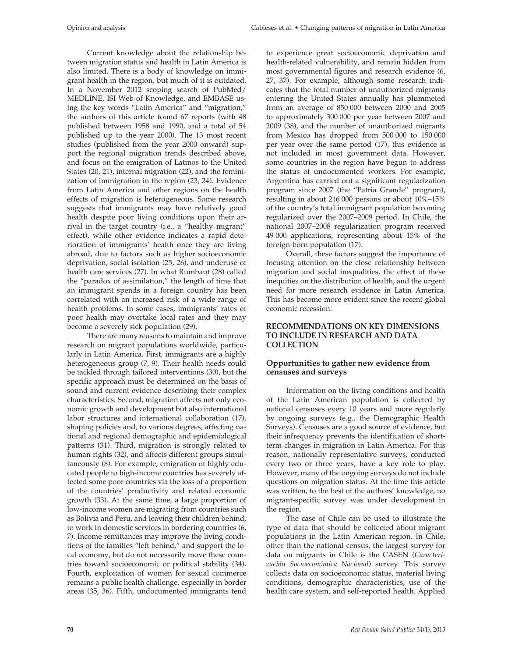Current knowledge about the relationship between migration status and health in Latin America is also limited. There is a body of knowledge on immigrant health in the region, but much of it is outdated. In a November 2012 scoping search of PubMed/ MEDLINE, ISI Web of Knowledge, and EMBASE using the key words "Latin America" and "migration," the authors of this article found 67 reports (with 48 published between 1958 and 1990, and a total of 54 published up to the year 2000). The 13 most recent studies (published from the year 2000 onward) support the regional migration trends described above, and focus on the emigration of Latinos to the United States (20, 21), internal migration (22), and the feminization of immigration in the region (23, 24). Evidence from Latin America and other regions on the health effects of migration is heterogeneous. Some research suggests that immigrants may have relatively good health despite poor living conditions upon their arrival in the target country (i.e., a "healthy migrant" effect), while other evidence indicates a rapid deterioration of immigrants' health once they are living abroad, due to factors such as higher socioeconomic deprivation, social isolation (25, 26), and underuse of health care services (27). In what Rumbaut (28) called the "paradox of assimilation," the length of time that an immigrant spends in a foreign country has been correlated with an increased risk of a wide range of health problems. In some cases, immigrants' rates of poor health may overtake local rates and they may become a severely sick population (29).

There are many reasons to maintain and improve research on migrant populations worldwide, particularly in Latin America. First, immigrants are a highly heterogeneous group (7, 9). Their health needs could be tackled through tailored interventions (30), but the specific approach must be determined on the basis of sound and current evidence describing their complex characteristics. Second, migration affects not only economic growth and development but also international labor structures and international collaboration (17), shaping policies and, to various degrees, affecting national and regional demographic and epidemiological patterns (31). Third, migration is strongly related to human rights (32), and affects different groups simultaneously (8). For example, emigration of highly educated people to high-income countries has severely affected some poor countries via the loss of a proportion of the countries' productivity and related economic growth (33). At the same time, a large proportion of low-income women are migrating from countries such as Bolivia and Peru, and leaving their children behind, to work in domestic services in bordering countries (6, 7). Income remittances may improve the living conditions of the families "left behind," and support the local economy, but do not necessarily move these countries toward socioeconomic or political stability (34). Fourth, exploitation of women for sexual commerce remains a public health challenge, especially in border areas (35, 36). Fifth, undocumented immigrants tend to experience great socioeconomic deprivation and health-related vulnerability, and remain hidden from most governmental figures and research evidence (6, 27, 37). For example, although some research indicates that the total number of unauthorized migrants entering the United States annually has plummeted from an average of 850 000 between 2000 and 2005 to approximately 300 000 per year between 2007 and 2009 (38), and the number of unauthorized migrants from Mexico has dropped from 500 000 to 150 000 per year over the same period (17), this evidence is not included in most government data. However, some countries in the region have begun to address the status of undocumented workers. For example, Argentina has carried out a significant regularization program since 2007 (the "Patria Grande" program), resulting in about 216 000 persons or about 10%–15% of the country's total immigrant population becoming regularized over the 2007–2009 period. In Chile, the national 2007–2008 regularization program received 49 000 applications, representing about 15% of the foreign-born population (17).

Overall, these factors suggest the importance of focusing attention on the close relationship between migration and social inequalities, the effect of these inequities on the distribution of health, and the urgent need for more research evidence in Latin America. This has become more evident since the recent global economic recession.

## **RECOMMENDATIONS ON KEY DIMENSIONS TO INCLUDE IN RESEARCH AND DATA COLLECTION**

## **Opportunities to gather new evidence from censuses and surveys**

Information on the living conditions and health of the Latin American population is collected by national censuses every 10 years and more regularly by ongoing surveys (e.g., the Demographic Health Surveys). Censuses are a good source of evidence, but their infrequency prevents the identification of shortterm changes in migration in Latin America. For this reason, nationally representative surveys, conducted every two or three years, have a key role to play. However, many of the ongoing surveys do not include questions on migration status. At the time this article was written, to the best of the authors' knowledge, no migrant-specific survey was under development in the region.

The case of Chile can be used to illustrate the type of data that should be collected about migrant populations in the Latin American region. In Chile, other than the national census, the largest survey for data on migrants in Chile is the CASEN (*Caracterización Socioeconómica Nacional*) survey. This survey collects data on socioeconomic status, material living conditions, demographic characteristics, use of the health care system, and self-reported health. Applied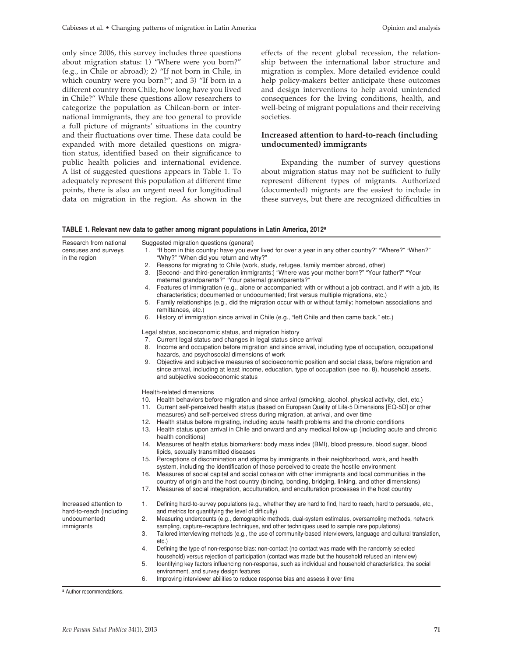only since 2006, this survey includes three questions about migration status: 1) "Where were you born?" (e.g., in Chile or abroad); 2) "If not born in Chile, in which country were you born?"; and 3) "If born in a different country from Chile, how long have you lived in Chile?" While these questions allow researchers to categorize the population as Chilean-born or international immigrants, they are too general to provide a full picture of migrants' situations in the country and their fluctuations over time. These data could be expanded with more detailed questions on migration status, identified based on their significance to public health policies and international evidence. A list of suggested questions appears in Table 1. To adequately represent this population at different time points, there is also an urgent need for longitudinal data on migration in the region. As shown in the effects of the recent global recession, the relationship between the international labor structure and migration is complex. More detailed evidence could help policy-makers better anticipate these outcomes and design interventions to help avoid unintended consequences for the living conditions, health, and well-being of migrant populations and their receiving societies.

## **Increased attention to hard-to-reach (including undocumented) immigrants**

Expanding the number of survey questions about migration status may not be sufficient to fully represent different types of migrants. Authorized (documented) migrants are the easiest to include in these surveys, but there are recognized difficulties in

| Research from national                                                            | Suggested migration questions (general)                                                                                                                                                         |
|-----------------------------------------------------------------------------------|-------------------------------------------------------------------------------------------------------------------------------------------------------------------------------------------------|
| censuses and surveys<br>in the region                                             | "If born in this country: have you ever lived for over a year in any other country?" "Where?" "When?"<br>1.                                                                                     |
|                                                                                   | "Why?" "When did you return and why?"                                                                                                                                                           |
|                                                                                   | Reasons for migrating to Chile (work, study, refugee, family member abroad, other)<br>2.                                                                                                        |
|                                                                                   | [Second- and third-generation immigrants:] "Where was your mother born?" "Your father?" "Your<br>3.                                                                                             |
|                                                                                   | maternal grandparents?" "Your paternal grandparents?"                                                                                                                                           |
|                                                                                   | 4. Features of immigration (e.g., alone or accompanied; with or without a job contract, and if with a job, its                                                                                  |
|                                                                                   | characteristics; documented or undocumented; first versus multiple migrations, etc.)                                                                                                            |
|                                                                                   | 5. Family relationships (e.g., did the migration occur with or without family; hometown associations and                                                                                        |
|                                                                                   | remittances, etc.)                                                                                                                                                                              |
|                                                                                   | History of immigration since arrival in Chile (e.g., "left Chile and then came back," etc.)<br>6.                                                                                               |
|                                                                                   | Legal status, socioeconomic status, and migration history                                                                                                                                       |
|                                                                                   | 7. Current legal status and changes in legal status since arrival                                                                                                                               |
|                                                                                   | 8. Income and occupation before migration and since arrival, including type of occupation, occupational<br>hazards, and psychosocial dimensions of work                                         |
|                                                                                   | Objective and subjective measures of socioeconomic position and social class, before migration and<br>9.                                                                                        |
|                                                                                   | since arrival, including at least income, education, type of occupation (see no. 8), household assets,                                                                                          |
|                                                                                   | and subjective socioeconomic status                                                                                                                                                             |
|                                                                                   | Health-related dimensions                                                                                                                                                                       |
|                                                                                   | 10. Health behaviors before migration and since arrival (smoking, alcohol, physical activity, diet, etc.)                                                                                       |
|                                                                                   | 11. Current self-perceived health status (based on European Quality of Life-5 Dimensions [EQ-5D] or other<br>measures) and self-perceived stress during migration, at arrival, and over time    |
|                                                                                   | 12. Health status before migrating, including acute health problems and the chronic conditions                                                                                                  |
|                                                                                   | Health status upon arrival in Chile and onward and any medical follow-up (including acute and chronic<br>13.<br>health conditions)                                                              |
|                                                                                   | 14. Measures of health status biomarkers: body mass index (BMI), blood pressure, blood sugar, blood<br>lipids, sexually transmitted diseases                                                    |
|                                                                                   | 15. Perceptions of discrimination and stigma by immigrants in their neighborhood, work, and health<br>system, including the identification of those perceived to create the hostile environment |
|                                                                                   | Measures of social capital and social cohesion with other immigrants and local communities in the<br>16.                                                                                        |
|                                                                                   | country of origin and the host country (binding, bonding, bridging, linking, and other dimensions)                                                                                              |
|                                                                                   | Measures of social integration, acculturation, and enculturation processes in the host country<br>17.                                                                                           |
| Increased attention to<br>hard-to-reach (including<br>undocumented)<br>immigrants | 1.<br>Defining hard-to-survey populations (e.g., whether they are hard to find, hard to reach, hard to persuade, etc.,                                                                          |
|                                                                                   | and metrics for quantifying the level of difficulty)                                                                                                                                            |
|                                                                                   | 2.<br>Measuring undercounts (e.g., demographic methods, dual-system estimates, oversampling methods, network                                                                                    |
|                                                                                   | sampling, capture–recapture techniques, and other techniques used to sample rare populations)                                                                                                   |
|                                                                                   | 3.<br>Tailored interviewing methods (e.g., the use of community-based interviewers, language and cultural translation,                                                                          |
|                                                                                   | etc.)                                                                                                                                                                                           |
|                                                                                   | Defining the type of non-response bias: non-contact (no contact was made with the randomly selected<br>4.                                                                                       |
|                                                                                   | household) versus rejection of participation (contact was made but the household refused an interview)                                                                                          |
|                                                                                   | 5.<br>Identifying key factors influencing non-response, such as individual and household characteristics, the social<br>environment, and survey design features                                 |
|                                                                                   | Improving interviewer abilities to reduce response bias and assess it over time<br>6.                                                                                                           |

#### **TABLE 1. Relevant new data to gather among migrant populations in Latin America, 2012a**

a Author recommendations.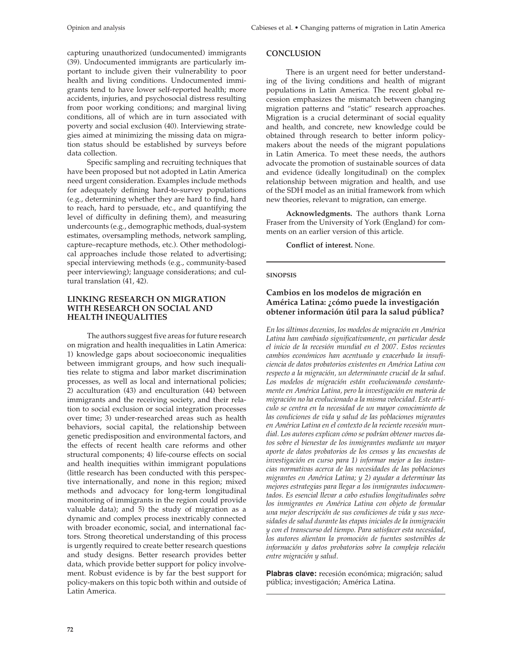capturing unauthorized (undocumented) immigrants (39). Undocumented immigrants are particularly important to include given their vulnerability to poor health and living conditions. Undocumented immigrants tend to have lower self-reported health; more accidents, injuries, and psychosocial distress resulting from poor working conditions; and marginal living conditions, all of which are in turn associated with poverty and social exclusion (40). Interviewing strategies aimed at minimizing the missing data on migration status should be established by surveys before data collection.

Specific sampling and recruiting techniques that have been proposed but not adopted in Latin America need urgent consideration. Examples include methods for adequately defining hard-to-survey populations (e.g., determining whether they are hard to find, hard to reach, hard to persuade, etc., and quantifying the level of difficulty in defining them), and measuring undercounts (e.g., demographic methods, dual-system estimates, oversampling methods, network sampling, capture–recapture methods, etc.). Other methodological approaches include those related to advertising; special interviewing methods (e.g., community-based peer interviewing); language considerations; and cultural translation (41, 42).

# **LINKING RESEARCH ON MIGRATION WITH RESEARCH ON SOCIAL AND HEALTH INEQUALITIES**

The authors suggest five areas for future research on migration and health inequalities in Latin America: 1) knowledge gaps about socioeconomic inequalities between immigrant groups, and how such inequalities relate to stigma and labor market discrimination processes, as well as local and international policies; 2) acculturation (43) and enculturation (44) between immigrants and the receiving society, and their relation to social exclusion or social integration processes over time; 3) under-researched areas such as health behaviors, social capital, the relationship between genetic predisposition and environmental factors, and the effects of recent health care reforms and other structural components; 4) life-course effects on social and health inequities within immigrant populations (little research has been conducted with this perspective internationally, and none in this region; mixed methods and advocacy for long-term longitudinal monitoring of immigrants in the region could provide valuable data); and 5) the study of migration as a dynamic and complex process inextricably connected with broader economic, social, and international factors. Strong theoretical understanding of this process is urgently required to create better research questions and study designs. Better research provides better data, which provide better support for policy involvement. Robust evidence is by far the best support for policy-makers on this topic both within and outside of Latin America.

## **CONCLUSION**

There is an urgent need for better understanding of the living conditions and health of migrant populations in Latin America. The recent global recession emphasizes the mismatch between changing migration patterns and "static" research approaches. Migration is a crucial determinant of social equality and health, and concrete, new knowledge could be obtained through research to better inform policymakers about the needs of the migrant populations in Latin America. To meet these needs, the authors advocate the promotion of sustainable sources of data and evidence (ideally longitudinal) on the complex relationship between migration and health, and use of the SDH model as an initial framework from which new theories, relevant to migration, can emerge.

**Acknowledgments.** The authors thank Lorna Fraser from the University of York (England) for comments on an earlier version of this article.

**Conflict of interest.** None.

## **sinopsis**

# **Cambios en los modelos de migración en América Latina: ¿cómo puede la investigación obtener información útil para la salud pública?**

*En los últimos decenios, los modelos de migración en América Latina han cambiado significativamente, en particular desde el inicio de la recesión mundial en el 2007. Estos recientes cambios económicos han acentuado y exacerbado la insuficiencia de datos probatorios existentes en América Latina con respecto a la migración, un determinante crucial de la salud. Los modelos de migración están evolucionando constantemente en América Latina, pero la investigación en materia de migración no ha evolucionado a la misma velocidad. Este artículo se centra en la necesidad de un mayor conocimiento de las condiciones de vida y salud de las poblaciones migrantes en América Latina en el contexto de la reciente recesión mundial. Los autores explican cómo se podrían obtener nuevos datos sobre el bienestar de los inmigrantes mediante un mayor aporte de datos probatorios de los censos y las encuestas de investigación en curso para 1) informar mejor a las instancias normativas acerca de las necesidades de las poblaciones migrantes en América Latina; y 2) ayudar a determinar las mejores estrategias para llegar a los inmigrantes indocumentados. Es esencial llevar a cabo estudios longitudinales sobre los inmigrantes en América Latina con objeto de formular una mejor descripción de sus condiciones de vida y sus necesidades de salud durante las etapas iniciales de la inmigración y con el transcurso del tiempo. Para satisfacer esta necesidad, los autores alientan la promoción de fuentes sostenibles de información y datos probatorios sobre la compleja relación entre migración y salud.*

**Plabras clave:** recesión económica; migración; salud pública; investigación; América Latina.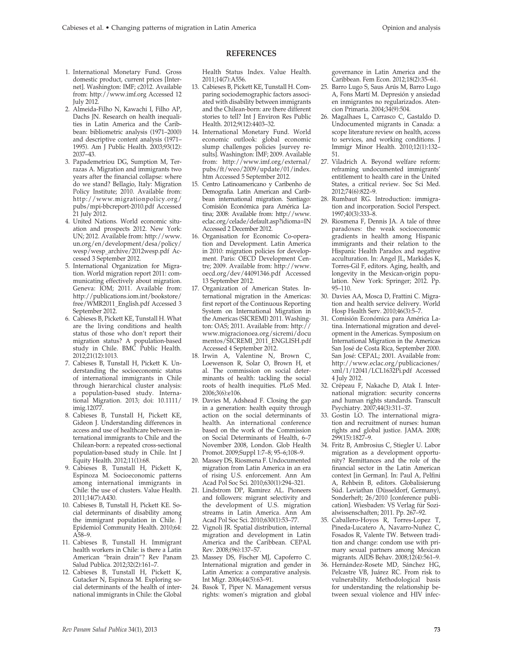## **REFERENCES**

- 1. International Monetary Fund. Gross domestic product, current prices [Internet]. Washington: IMF; c2012. Available from: http://www.imf.org Accessed 12 July 2012.
- 2. Almeida-Filho N, Kawachi I, Filho AP, Dachs JN. Research on health inequalities in Latin America and the Caribbean: bibliometric analysis (1971–2000) and descriptive content analysis (1971– 1995). Am J Public Health. 2003;93(12): 2037–43.
- 3. Papademetriou DG, Sumption M, Terrazas A. Migration and immigrants two years after the financial collapse: where do we stand? Bellagio, Italy: Migration Policy Institute; 2010. Available from: http://www.migrationpolicy.org/ pubs/mpi-bbcreport-2010.pdf Accessed 21 July 2012.
- 4. United Nations. World economic situation and prospects 2012. New York: UN; 2012. Available from: http://www. un.org/en/development/desa/policy/ wesp/wesp\_archive/2012wesp.pdf Accessed 3 September 2012.
- 5. International Organization for Migration. World migration report 2011: communicating effectively about migration. Geneva: IOM; 2011. Available from: http://publications.iom.int/bookstore/ free/WMR2011\_English.pdf Accessed 3 September 2012.
- 6. Cabieses B, Pickett KE, Tunstall H. What are the living conditions and health status of those who don't report their migration status? A population-based study in Chile. BMC Public Health. 2012;21(12):1013.
- 7. Cabieses B, Tunstall H, Pickett K. Understanding the socioeconomic status of international immigrants in Chile through hierarchical cluster analysis: a population-based study. International Migration. 2013; doi: 10.1111/ imig.12077.
- 8. Cabieses B, Tunstall H, Pickett KE, Gideon J. Understanding differences in access and use of healthcare between international immigrants to Chile and the Chilean-born: a repeated cross-sectional population-based study in Chile. Int J Equity Health. 2012;11(1):68.
- 9. Cabieses B, Tunstall H, Pickett K, Espinoza M. Socioeconomic patterns among international immigrants in Chile: the use of clusters. Value Health. 2011;14(7):A430.
- 10. Cabieses B, Tunstall H, Pickett KE. Social determinants of disability among the immigrant population in Chile. J Epidemiol Community Health. 2010;64: A58–9.
- 11. Cabieses B, Tunstall H. Immigrant health workers in Chile: is there a Latin American "brain drain"? Rev Panam Salud Publica. 2012;32(2):161–7.
- 12. Cabieses B, Tunstall H, Pickett K, Gutacker N, Espinoza M. Exploring social determinants of the health of international immigrants in Chile: the Global

Health Status Index. Value Health. 2011;14(7):A556.

- 13. Cabieses B, Pickett KE, Tunstall H. Comparing sociodemographic factors associated with disability between immigrants and the Chilean-born: are there different stories to tell? Int J Environ Res Public Health. 2012;9(12):4403–32.
- 14. International Monetary Fund. World economic outlook: global economic slump challenges policies [survey results]. Washington: IMF; 2009. Available from: http://www.imf.org/external/ pubs/ft/weo/2009/update/01/index. htm Accessed 5 September 2012.
- 15. Centro Latinoamericano y Caribenho de Demografia. Latin American and Caribbean international migration. Santiago: Comisión Económica para América Latina; 2008: Available from: http://www. eclac.org/celade/default.asp?idioma=IN Accessed 2 December 2012.
- 16. Organisation for Economic Co-operation and Development. Latin America in 2010: migration policies for development. Paris: OECD Development Centre; 2009. Available from: http://www. oecd.org/dev/44091346.pdf Accessed 13 September 2012.
- 17. Organization of American States. International migration in the Americas: first report of the Continuous Reporting System on International Migration in the Americas (SICREMI) 2011. Washington: OAS; 2011. Available from: http:// www.migracionoea.org/sicremi/docu mentos/SICREMI\_2011\_ENGLISH.pdf Accessed 4 September 2012.
- 18. Irwin A, Valentine N, Brown C, Loewenson R, Solar O, Brown H, et al. The commission on social determinants of health: tackling the social roots of health inequities. PLoS Med. 2006;3(6):e106.
- 19. Davies M, Adshead F. Closing the gap in a generation: health equity through action on the social determinants of health. An international conference based on the work of the Commission on Social Determinants of Health, 6–7 November 2008, London. Glob Health Promot. 2009;Suppl 1:7–8; 95–6;108–9.
- 20. Massey DS, Riosmena F. Undocumented migration from Latin America in an era of rising U.S. enforcement. Ann Am Acad Pol Soc Sci. 2010;630(1):294–321.
- 21. Lindstrom DP, Ramirez AL. Pioneers and followers: migrant selectivity and the development of U.S. migration streams in Latin America. Ann Am Acad Pol Soc Sci. 2010;630(1):53–77.
- 22. Vignoli JR. Spatial distribution, internal migration and development in Latin America and the Caribbean. CEPAL Rev. 2008;(96):137–57.
- 23. Massey DS, Fischer MJ, Capoferro C. International migration and gender in Latin America: a comparative analysis. Int Migr. 2006;44(5):63–91.
- 24. Basok T, Piper N. Management versus rights: women's migration and global

governance in Latin America and the Caribbean. Fem Econ. 2012;18(2):35–61.

- 25. Barro Lugo S, Saus Arús M, Barro Lugo A, Fons Martí M. Depresión y ansiedad en inmigrantes no regularizados. Atencion Primaria. 2004;34(9):504.
- 26. Magalhaes L, Carrasco C, Gastaldo D. Undocumented migrants in Canada: a scope literature review on health, access to services, and working conditions. J Immigr Minor Health. 2010;12(1):132– 51.
- 27. Viladrich A. Beyond welfare reform: reframing undocumented immigrants' entitlement to health care in the United States, a critical review. Soc Sci Med. 2012;74(6):822–9.
- 28. Rumbaut RG. Introduction: immigration and incorporation. Sociol Perspect. 1997;40(3):333–8.
- 29. Riosmena F, Dennis JA. A tale of three paradoxes: the weak socioeconomic gradients in health among Hispanic immigrants and their relation to the Hispanic Health Paradox and negative acculturation. In: Angel JL, Markides K, Torres-Gil F, editors. Aging, health, and longevity in the Mexican-origin population. New York: Springer; 2012. Pp. 95–110.
- 30. Davies AA, Mosca D, Frattini C. Migration and health service delivery. World Hosp Health Serv. 2010;46(3):5–7.
- 31. Comisión Económica para América Latina. International migration and development in the Americas. Symposium on International Migration in the Americas San José de Costa Rica, September 2000. San José: CEPAL; 2001. Available from: http://www.eclac.org/publicaciones/ xml/1/12041/LCL1632Pi.pdf Accessed 4 July 2012.
- 32. Crépeau F, Nakache D, Atak I. International migration: security concerns and human rights standards. Transcult Psychiatry. 2007;44(3):311–37.
- 33. Gostin LO. The international migration and recruitment of nurses: human rights and global justice. JAMA. 2008; 299(15):1827–9.
- 34. Fritz B, Ambrosius C, Stiegler U. Labor migration as a development opportunity? Remittances and the role of the financial sector in the Latin American context [in German]. In: Paul A, Pelfini A, Rehbein B, editors. Globalisierung Süd. Leviathan (Düsseldorf, Germany), Sonderheft; 26/2010 [conference publication]. Wiesbaden: VS Verlag für Sozialwissenschaften; 2011. Pp. 267–92.
- 35. Caballero-Hoyos R, Torres-Lopez T, Pineda-Lucatero A, Navarro-Nuñez C, Fosados R, Valente TW. Between tradition and change: condom use with primary sexual partners among Mexican migrants. AIDS Behav. 2008;12(4):561–9.
- 36. Hernández-Rosete MD, Sánchez HG, Pelcastre VB, Juárez RC. From risk to vulnerability. Methodological basis for understanding the relationship between sexual violence and HIV infec-